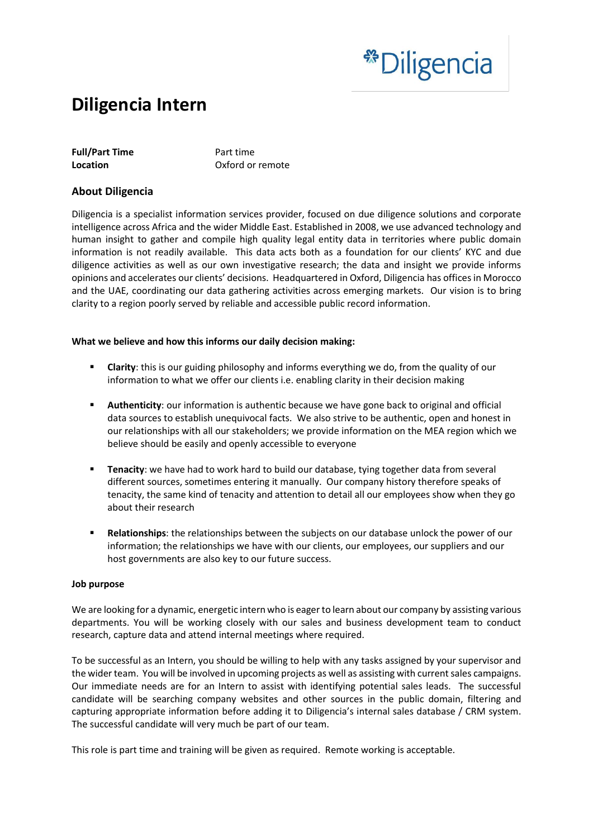# \*\*Diligencia

# **Diligencia Intern**

| <b>Full/Part Time</b> |  |
|-----------------------|--|
| Location              |  |

**Full/Part Time** Part time **Oxford or remote** 

## **About Diligencia**

Diligencia is a specialist information services provider, focused on due diligence solutions and corporate intelligence across Africa and the wider Middle East. Established in 2008, we use advanced technology and human insight to gather and compile high quality legal entity data in territories where public domain information is not readily available. This data acts both as a foundation for our clients' KYC and due diligence activities as well as our own investigative research; the data and insight we provide informs opinions and accelerates our clients' decisions. Headquartered in Oxford, Diligencia has offices in Morocco and the UAE, coordinating our data gathering activities across emerging markets. Our vision is to bring clarity to a region poorly served by reliable and accessible public record information.

#### **What we believe and how this informs our daily decision making:**

- **EXECT 4.5 The Clarity:** this is our guiding philosophy and informs everything we do, from the quality of our information to what we offer our clients i.e. enabling clarity in their decision making
- **E** Authenticity: our information is authentic because we have gone back to original and official data sources to establish unequivocal facts. We also strive to be authentic, open and honest in our relationships with all our stakeholders; we provide information on the MEA region which we believe should be easily and openly accessible to everyone
- **E** Tenacity: we have had to work hard to build our database, tying together data from several different sources, sometimes entering it manually. Our company history therefore speaks of tenacity, the same kind of tenacity and attention to detail all our employees show when they go about their research
- **Relationships**: the relationships between the subjects on our database unlock the power of our information; the relationships we have with our clients, our employees, our suppliers and our host governments are also key to our future success.

#### **Job purpose**

We are looking for a dynamic, energetic intern who is eager to learn about our company by assisting various departments. You will be working closely with our sales and business development team to conduct research, capture data and attend internal meetings where required.

To be successful as an Intern, you should be willing to help with any tasks assigned by your supervisor and the wider team. You will be involved in upcoming projects as well as assisting with current sales campaigns. Our immediate needs are for an Intern to assist with identifying potential sales leads. The successful candidate will be searching company websites and other sources in the public domain, filtering and capturing appropriate information before adding it to Diligencia's internal sales database / CRM system. The successful candidate will very much be part of our team.

This role is part time and training will be given as required. Remote working is acceptable.